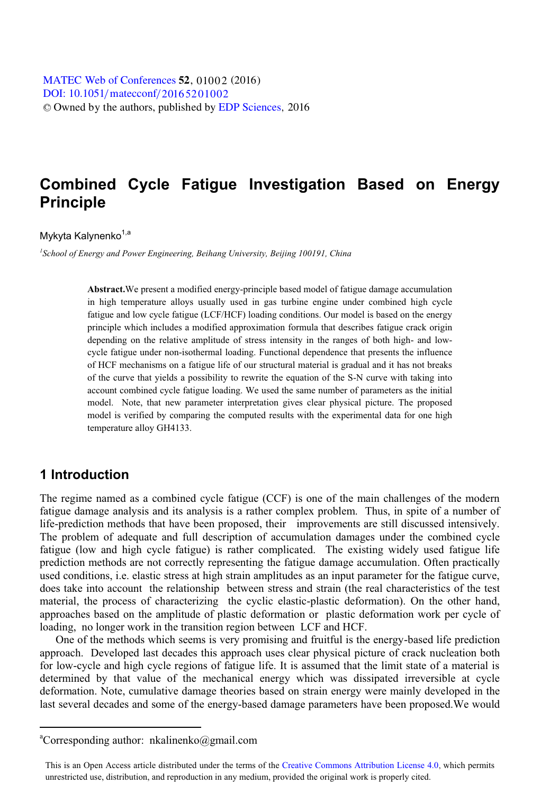# **Combined Cycle Fatigue Investigation Based on Energy Principle**

Mykyta Kalynenko<sup>1,a</sup>

*1 School of Energy and Power Engineering, Beihang University, Beijing 100191, China*

**Abstract.**We present a modified energy-principle based model of fatigue damage accumulation in high temperature alloys usually used in gas turbine engine under combined high cycle fatigue and low cycle fatigue (LCF/HCF) loading conditions. Our model is based on the energy principle which includes a modified approximation formula that describes fatigue crack origin depending on the relative amplitude of stress intensity in the ranges of both high- and lowcycle fatigue under non-isothermal loading. Functional dependence that presents the influence of HCF mechanisms on a fatigue life of our structural material is gradual and it has not breaks of the curve that yields a possibility to rewrite the equation of the S-N curve with taking into account combined cycle fatigue loading. We used the same number of parameters as the initial model. Note, that new parameter interpretation gives clear physical picture. The proposed model is verified by comparing the computed results with the experimental data for one high temperature alloy GH4133.

## **1 Introduction**

 $\overline{a}$ 

The regime named as a combined cycle fatigue (CCF) is one of the main challenges of the modern fatigue damage analysis and its analysis is a rather complex problem. Thus, in spite of a number of life-prediction methods that have been proposed, their improvements are still discussed intensively. The problem of adequate and full description of accumulation damages under the combined cycle fatigue (low and high cycle fatigue) is rather complicated. The existing widely used fatigue life prediction methods are not correctly representing the fatigue damage accumulation. Often practically used conditions, i.e. elastic stress at high strain amplitudes as an input parameter for the fatigue curve, does take into account the relationship between stress and strain (the real characteristics of the test material, the process of characterizing the cyclic elastic-plastic deformation). On the other hand, approaches based on the amplitude of plastic deformation or plastic deformation work per cycle of loading, no longer work in the transition region between LCF and HCF.

One of the methods which seems is very promising and fruitful is the energy-based life prediction approach. Developed last decades this approach uses clear physical picture of crack nucleation both for low-cycle and high cycle regions of fatigue life. It is assumed that the limit state of a material is determined by that value of the mechanical energy which was dissipated irreversible at cycle deformation. Note, cumulative damage theories based on strain energy were mainly developed in the last several decades and some of the energy-based damage parameters have been proposed.We would

a Corresponding author: nkalinenko@gmail.com

This is an Open Access article distributed under the terms of the Creative Commons Attribution License 4.0, which permits unrestricted use, distribution, and reproduction in any medium, provided the original work is properly cited.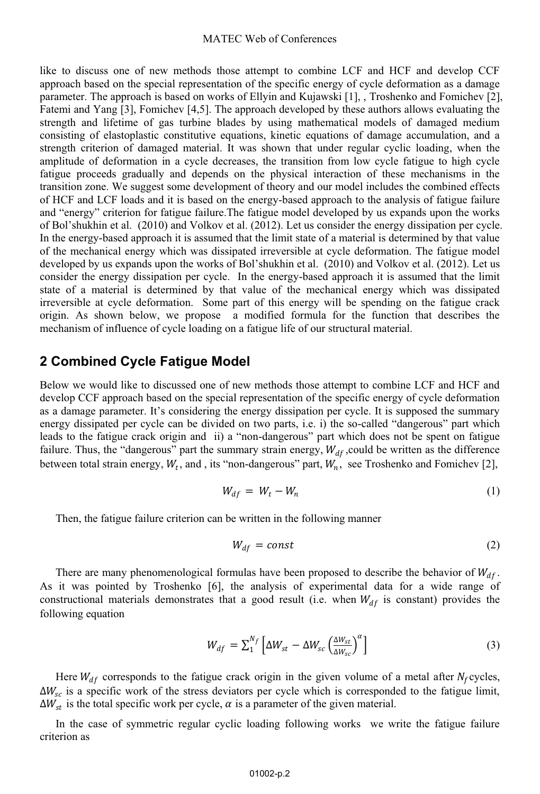like to discuss one of new methods those attempt to combine LCF and HCF and develop CCF approach based on the special representation of the specific energy of cycle deformation as a damage parameter. The approach is based on works of Ellyin and Kujawski [1], , Troshenko and Fomichev [2], Fatemi and Yang [3], Fomichev [4,5]. The approach developed by these authors allows evaluating the strength and lifetime of gas turbine blades by using mathematical models of damaged medium consisting of elastoplastic constitutive equations, kinetic equations of damage accumulation, and a strength criterion of damaged material. It was shown that under regular cyclic loading, when the amplitude of deformation in a cycle decreases, the transition from low cycle fatigue to high cycle fatigue proceeds gradually and depends on the physical interaction of these mechanisms in the transition zone. We suggest some development of theory and our model includes the combined effects of HCF and LCF loads and it is based on the energy-based approach to the analysis of fatigue failure and "energy" criterion for fatigue failure.The fatigue model developed by us expands upon the works of Bol'shukhin et al. (2010) and Volkov et al. (2012). Let us consider the energy dissipation per cycle. In the energy-based approach it is assumed that the limit state of a material is determined by that value of the mechanical energy which was dissipated irreversible at cycle deformation. The fatigue model developed by us expands upon the works of Bol'shukhin et al. (2010) and Volkov et al. (2012). Let us consider the energy dissipation per cycle. In the energy-based approach it is assumed that the limit state of a material is determined by that value of the mechanical energy which was dissipated irreversible at cycle deformation. Some part of this energy will be spending on the fatigue crack origin. As shown below, we propose a modified formula for the function that describes the mechanism of influence of cycle loading on a fatigue life of our structural material.

### **2 Combined Cycle Fatigue Model**

Below we would like to discussed one of new methods those attempt to combine LCF and HCF and develop CCF approach based on the special representation of the specific energy of cycle deformation as a damage parameter. It's considering the energy dissipation per cycle. It is supposed the summary energy dissipated per cycle can be divided on two parts, i.e. i) the so-called "dangerous" part which leads to the fatigue crack origin and ii) a "non-dangerous" part which does not be spent on fatigue failure. Thus, the "dangerous" part the summary strain energy,  $W_{df}$ , could be written as the difference between total strain energy,  $W_t$ , and, its "non-dangerous" part,  $W_n$ , see Troshenko and Fomichev [2],

$$
W_{df} = W_t - W_n \tag{1}
$$

Then, the fatigue failure criterion can be written in the following manner

$$
W_{df} = const \tag{2}
$$

There are many phenomenological formulas have been proposed to describe the behavior of  $W_{df}$ . As it was pointed by Troshenko [6], the analysis of experimental data for a wide range of constructional materials demonstrates that a good result (i.e. when  $W_{df}$  is constant) provides the following equation

$$
W_{df} = \sum_{1}^{N_f} \left[ \Delta W_{st} - \Delta W_{sc} \left( \frac{\Delta W_{st}}{\Delta W_{sc}} \right)^{\alpha} \right]
$$
 (3)

Here  $W_{df}$  corresponds to the fatigue crack origin in the given volume of a metal after  $N_f$  cycles,  $\Delta W_{sc}$  is a specific work of the stress deviators per cycle which is corresponded to the fatigue limit,  $\Delta W_{st}$  is the total specific work per cycle,  $\alpha$  is a parameter of the given material.

In the case of symmetric regular cyclic loading following works we write the fatigue failure criterion as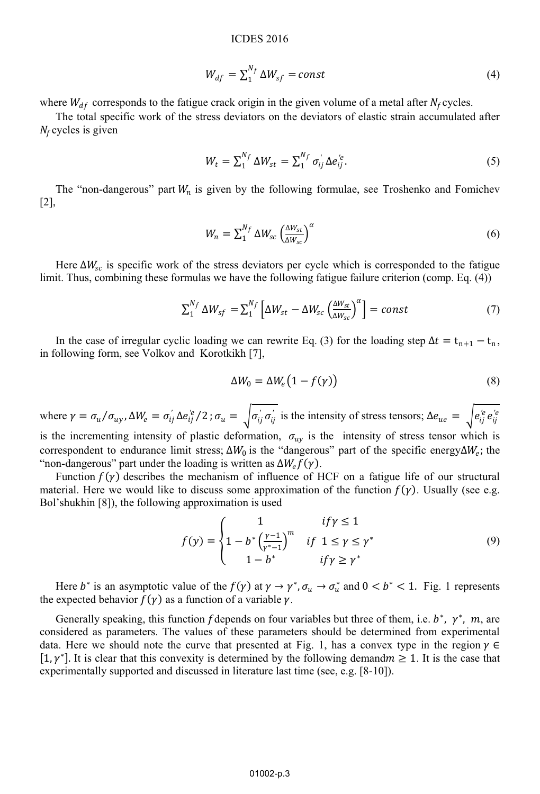#### ICDES 2016

$$
W_{df} = \sum_{1}^{N_f} \Delta W_{sf} = const \tag{4}
$$

where  $W_{df}$  corresponds to the fatigue crack origin in the given volume of a metal after  $N_f$  cycles.

The total specific work of the stress deviators on the deviators of elastic strain accumulated after  $N_f$  cycles is given

$$
W_t = \sum_1^{N_f} \Delta W_{st} = \sum_1^{N_f} \sigma_{ij}^{\prime} \Delta e_{ij}^{\prime e}.
$$
 (5)

The "non-dangerous" part  $W_n$  is given by the following formulae, see Troshenko and Fomichev [2],

$$
W_n = \sum_{1}^{N_f} \Delta W_{sc} \left(\frac{\Delta W_{st}}{\Delta W_{sc}}\right)^{\alpha} \tag{6}
$$

Here  $\Delta W_{sc}$  is specific work of the stress deviators per cycle which is corresponded to the fatigue limit. Thus, combining these formulas we have the following fatigue failure criterion (comp. Eq. (4))

$$
\Sigma_1^{N_f} \Delta W_{sf} = \Sigma_1^{N_f} \left[ \Delta W_{st} - \Delta W_{sc} \left( \frac{\Delta W_{st}}{\Delta W_{sc}} \right)^{\alpha} \right] = const \tag{7}
$$

In the case of irregular cyclic loading we can rewrite Eq. (3) for the loading step  $\Delta t = t_{n+1} - t_n$ , in following form, see Volkov and Korotkikh [7],

$$
\Delta W_0 = \Delta W_e \big( 1 - f(\gamma) \big) \tag{8}
$$

where  $\gamma = \sigma_u / \sigma_{uv}$ ,  $\Delta W_e = \sigma'_{ij} \Delta e^{i\epsilon}_{ij} / 2$ ;  $\sigma_u = \int \sigma'_{ij} \sigma'_{ij}$  is the intensity of stress tensors;  $\Delta e_{ue} = \int e^{i\epsilon}_{ij} e^{i\epsilon}_{ij}$ is the incrementing intensity of plastic deformation,  $\sigma_{uv}$  is the intensity of stress tensor which is correspondent to endurance limit stress;  $\Delta W_0$  is the "dangerous" part of the specific energy  $\Delta W_e$ ; the "non-dangerous" part under the loading is written as  $\Delta W_e f(\gamma)$ .

Function  $f(y)$  describes the mechanism of influence of HCF on a fatigue life of our structural material. Here we would like to discuss some approximation of the function  $f(y)$ . Usually (see e.g. Bol'shukhin [8]), the following approximation is used

$$
f(y) = \begin{cases} 1 & if \gamma \le 1 \\ 1 - b^* \left(\frac{\gamma - 1}{\gamma^* - 1}\right)^m & if \ 1 \le \gamma \le \gamma^* \\ 1 - b^* & if \gamma \ge \gamma^* \end{cases}
$$
(9)

Here  $b^*$  is an asymptotic value of the  $f(\gamma)$  at  $\gamma \to \gamma^*$ ,  $\sigma_u \to \sigma_u^*$  and  $0 < b^* < 1$ . Fig. 1 represents the expected behavior  $f(\gamma)$  as a function of a variable  $\gamma$ .

Generally speaking, this function f depends on four variables but three of them, i.e.  $b^*$ ,  $\gamma^*$ ,  $m$ , are considered as parameters. The values of these parameters should be determined from experimental data. Here we should note the curve that presented at Fig. 1, has a convex type in the region  $\gamma \in$  $[1, \gamma^*]$ . It is clear that this convexity is determined by the following demand  $m \geq 1$ . It is the case that experimentally supported and discussed in literature last time (see, e.g. [8-10]).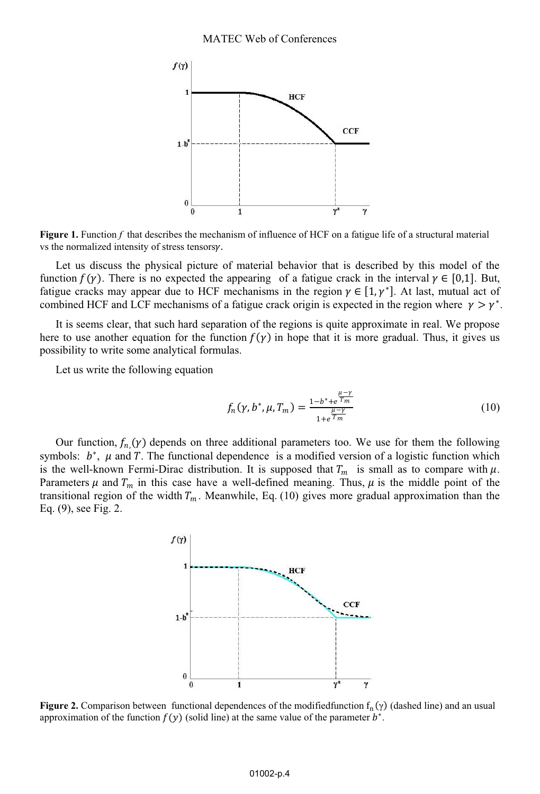

**Figure 1.** Function f that describes the mechanism of influence of HCF on a fatigue life of a structural material vs the normalized intensity of stress tensors $\gamma$ .

Let us discuss the physical picture of material behavior that is described by this model of the function  $f(\gamma)$ . There is no expected the appearing of a fatigue crack in the interval  $\gamma \in [0,1]$ . But, fatigue cracks may appear due to HCF mechanisms in the region  $\gamma \in [1, \gamma^*]$ . At last, mutual act of combined HCF and LCF mechanisms of a fatigue crack origin is expected in the region where  $\gamma > \gamma^*$ .

It is seems clear, that such hard separation of the regions is quite approximate in real. We propose here to use another equation for the function  $f(y)$  in hope that it is more gradual. Thus, it gives us possibility to write some analytical formulas.

Let us write the following equation

$$
f_n(\gamma, b^*, \mu, T_m) = \frac{1 - b^* + e^{\frac{\mu - \gamma}{T_m}}}{1 + e^{\frac{\mu - \gamma}{T_m}}} \tag{10}
$$

Our function,  $f_n(y)$  depends on three additional parameters too. We use for them the following symbols:  $b^*$ ,  $\mu$  and T. The functional dependence is a modified version of a logistic function which is the well-known Fermi-Dirac distribution. It is supposed that  $T_m$  is small as to compare with  $\mu$ . Parameters  $\mu$  and  $T_m$  in this case have a well-defined meaning. Thus,  $\mu$  is the middle point of the transitional region of the width  $T_m$ . Meanwhile, Eq. (10) gives more gradual approximation than the Eq. (9), see Fig. 2.



**Figure 2.** Comparison between functional dependences of the modifiedfunction  $f_n(y)$  (dashed line) and an usual approximation of the function  $f(y)$  (solid line) at the same value of the parameter  $b^*$ .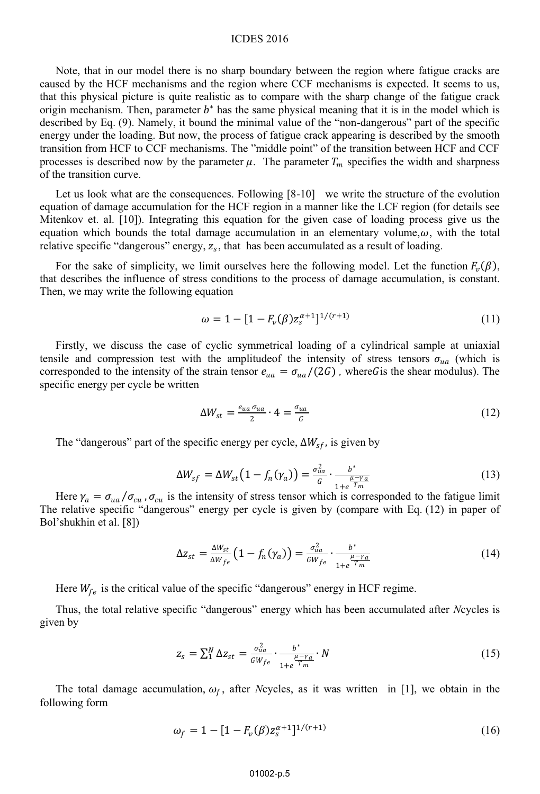### ICDES 2016

Note, that in our model there is no sharp boundary between the region where fatigue cracks are caused by the HCF mechanisms and the region where CCF mechanisms is expected. It seems to us, that this physical picture is quite realistic as to compare with the sharp change of the fatigue crack origin mechanism. Then, parameter  $b^*$  has the same physical meaning that it is in the model which is described by Eq. (9). Namely, it bound the minimal value of the "non-dangerous" part of the specific energy under the loading. But now, the process of fatigue crack appearing is described by the smooth transition from HCF to CCF mechanisms. The "middle point" of the transition between HCF and CCF processes is described now by the parameter  $\mu$ . The parameter  $T_m$  specifies the width and sharpness of the transition curve.

Let us look what are the consequences. Following [8-10] we write the structure of the evolution equation of damage accumulation for the HCF region in a manner like the LCF region (for details see Mitenkov et. al. [10]). Integrating this equation for the given case of loading process give us the equation which bounds the total damage accumulation in an elementary volume, $\omega$ , with the total relative specific "dangerous" energy,  $z<sub>s</sub>$ , that has been accumulated as a result of loading.

For the sake of simplicity, we limit ourselves here the following model. Let the function  $F_v(\beta)$ , that describes the influence of stress conditions to the process of damage accumulation, is constant. Then, we may write the following equation

$$
\omega = 1 - [1 - F_v(\beta)z_s^{\alpha+1}]^{1/(r+1)}
$$
\n(11)

Firstly, we discuss the case of cyclic symmetrical loading of a cylindrical sample at uniaxial tensile and compression test with the amplitude of the intensity of stress tensors  $\sigma_{ua}$  (which is corresponded to the intensity of the strain tensor  $e_{ua} = \sigma_{ua}/(2G)$ , where G is the shear modulus). The specific energy per cycle be written

$$
\Delta W_{st} = \frac{e_{ua} \sigma_{ua}}{2} \cdot 4 = \frac{\sigma_{ua}}{G} \tag{12}
$$

The "dangerous" part of the specific energy per cycle,  $\Delta W_{sf}$ , is given by

$$
\Delta W_{sf} = \Delta W_{st} \left( 1 - f_n(\gamma_a) \right) = \frac{\sigma_{ua}^2}{G} \cdot \frac{b^*}{1 + e^{\frac{\mu - \gamma_a}{T_m}}} \tag{13}
$$

Here  $\gamma_a = \sigma_{ua}/\sigma_{cu}$ ,  $\sigma_{cu}$  is the intensity of stress tensor which is corresponded to the fatigue limit The relative specific "dangerous" energy per cycle is given by (compare with Eq. (12) in paper of Bol'shukhin et al. [8])

$$
\Delta z_{st} = \frac{\Delta W_{st}}{\Delta W_{fe}} \left( 1 - f_n(\gamma_a) \right) = \frac{\sigma_{ua}^2}{GW_{fe}} \cdot \frac{b^*}{1 + e^{\frac{\mu - \gamma_a}{T_m}}} \tag{14}
$$

Here  $W_{fe}$  is the critical value of the specific "dangerous" energy in HCF regime.

Thus, the total relative specific "dangerous" energy which has been accumulated after *N*cycles is given by

$$
z_s = \sum_{1}^{N} \Delta z_{st} = \frac{\sigma_{ua}^2}{GW_{fe}} \cdot \frac{b^*}{1 + e^{\frac{\mu - \gamma_a}{T_m}}} \cdot N
$$
\n(15)

The total damage accumulation,  $\omega_f$ , after *N*cycles, as it was written in [1], we obtain in the following form

$$
\omega_f = 1 - [1 - F_v(\beta) z_s^{\alpha+1}]^{1/(r+1)}
$$
\n(16)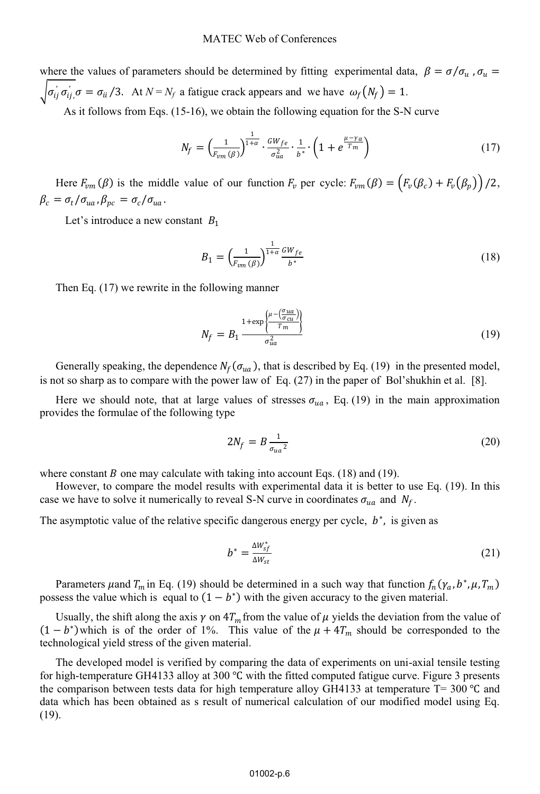where the values of parameters should be determined by fitting experimental data,  $\beta = \sigma / \sigma_u$ ,  $\sigma_u$  $\int \sigma'_{ij} \sigma'_{ij} \sigma = \sigma_{ii}/3$ . At  $N = N_f$  a fatigue crack appears and we have  $\omega_f(N_f) = 1$ .

As it follows from Eqs. (15-16), we obtain the following equation for the S-N curve

$$
N_f = \left(\frac{1}{F_{vm}(\beta)}\right)^{\frac{1}{1+\alpha}} \cdot \frac{GW_{fe}}{\sigma_{ua}^2} \cdot \frac{1}{b^*} \cdot \left(1 + e^{\frac{\mu - \gamma_a}{T_m}}\right) \tag{17}
$$

Here  $F_{vm}(\beta)$  is the middle value of our function  $F_v$  per cycle:  $F_{vm}(\beta) = (F_v(\beta_c) + F_v(\beta_p))/2$ ,  $\beta_c = \sigma_t / \sigma_{ua}$ ,  $\beta_{pc} = \sigma_c / \sigma_{ua}$ .

Let's introduce a new constant  $B_1$ 

$$
B_1 = \left(\frac{1}{F_{vm}(\beta)}\right)^{\frac{1}{1+\alpha}} \frac{GW_{fe}}{b^*}
$$
\n(18)

Then Eq. (17) we rewrite in the following manner

$$
N_f = B_1 \frac{1 + \exp\left\{\frac{\mu - \left(\frac{\sigma_{ua}}{\sigma_{cu}}\right)}{T_m}\right\}}{\sigma_{ua}^2}
$$
\n(19)

Generally speaking, the dependence  $N_f(\sigma_{ua})$ , that is described by Eq. (19) in the presented model, is not so sharp as to compare with the power law of Eq. (27) in the paper of Bol'shukhin et al. [8].

Here we should note, that at large values of stresses  $\sigma_{ua}$ , Eq. (19) in the main approximation provides the formulae of the following type

$$
2N_f = B \frac{1}{\sigma_{ua}^2} \tag{20}
$$

where constant B one may calculate with taking into account Eqs. (18) and (19).

However, to compare the model results with experimental data it is better to use Eq. (19). In this case we have to solve it numerically to reveal S-N curve in coordinates  $\sigma_{ua}$  and  $N_f$ .

The asymptotic value of the relative specific dangerous energy per cycle,  $h^*$ , is given as

$$
b^* = \frac{\Delta W_{sf}^*}{\Delta W_{st}} \tag{21}
$$

Parameters  $\mu$  and  $T_m$  in Eq. (19) should be determined in a such way that function  $f_n(\gamma_a, b^*, \mu, T_m)$ possess the value which is equal to  $(1−*b*<sup>*</sup>)$  with the given accuracy to the given material.

Usually, the shift along the axis  $\gamma$  on  $4T_m$  from the value of  $\mu$  yields the deviation from the value of  $(1-b^*)$ which is of the order of 1%. This value of the  $\mu + 4T_m$  should be corresponded to the technological yield stress of the given material.

The developed model is verified by comparing the data of experiments on uni-axial tensile testing for high-temperature GH4133 alloy at 300 ℃ with the fitted computed fatigue curve. Figure 3 presents the comparison between tests data for high temperature alloy GH4133 at temperature T= 300 °C and data which has been obtained as s result of numerical calculation of our modified model using Eq. (19).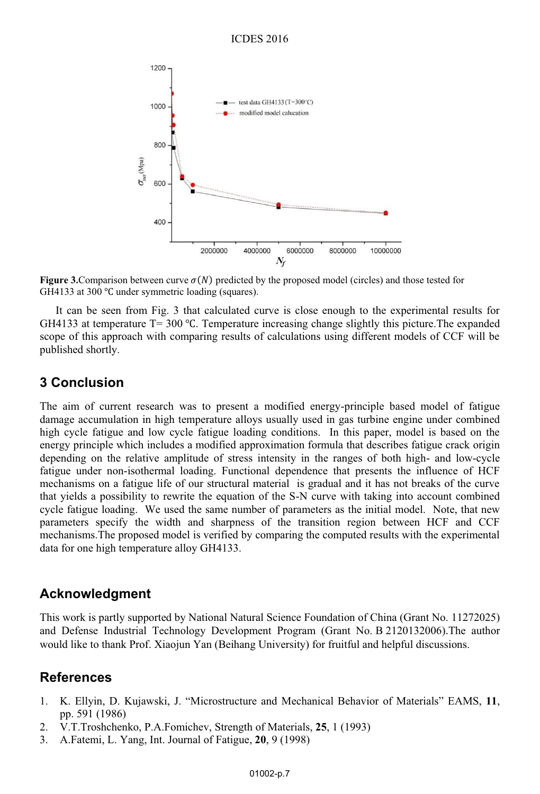

**Figure 3.**Comparison between curve  $\sigma(N)$  predicted by the proposed model (circles) and those tested for GH4133 at 300 ℃ under symmetric loading (squares).

It can be seen from Fig. 3 that calculated curve is close enough to the experimental results for GH4133 at temperature  $T = 300$  °C. Temperature increasing change slightly this picture. The expanded scope of this approach with comparing results of calculations using different models of CCF will be published shortly.

### **3 Conclusion**

The aim of current research was to present a modified energy-principle based model of fatigue damage accumulation in high temperature alloys usually used in gas turbine engine under combined high cycle fatigue and low cycle fatigue loading conditions. In this paper, model is based on the energy principle which includes a modified approximation formula that describes fatigue crack origin depending on the relative amplitude of stress intensity in the ranges of both high- and low-cycle fatigue under non-isothermal loading. Functional dependence that presents the influence of HCF mechanisms on a fatigue life of our structural material is gradual and it has not breaks of the curve that yields a possibility to rewrite the equation of the S-N curve with taking into account combined cycle fatigue loading. We used the same number of parameters as the initial model. Note, that new parameters specify the width and sharpness of the transition region between HCF and CCF mechanisms.The proposed model is verified by comparing the computed results with the experimental data for one high temperature alloy GH4133.

### **Acknowledgment**

This work is partly supported by National Natural Science Foundation of China (Grant No. 11272025) and Defense Industrial Technology Development Program (Grant No. B 2120132006).The author would like to thank Prof. Xiaojun Yan (Beihang University) for fruitful and helpful discussions.

### **References**

- 1. K. Ellyin, D. Kujawski, J. "Microstructure and Mechanical Behavior of Materials" EAMS, **11**, pp. 591 (1986)
- 2. V.T.Troshchenko, P.A.Fomichev, Strength of Materials, **25**, 1 (1993)
- 3. A.Fatemi, L. Yang, Int. Journal of Fatigue, **20**, 9 (1998)